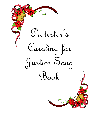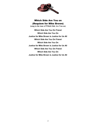

## **Which Side Are You on (Requiem for Mike Brown)**

**(song to the tune of Which Side Are You on)**

**Which Side Are You On Friend Which Side Are You On Justice for Mike Brown is Justice for Us All Which Side Are You On Friend Which Side Are You On Justice for Mike Brown is Justice for Us All Which Side Are You On Friend Which Side Are You On Justice for Mike Brown is Justice for Us All**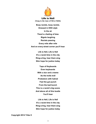

**Life is Hell (Song to the tune of Silver Bells)**

**Busy racists, busy racists. Dressed in KKK style In the air There's a feeling of bias Bigots laughing Racists passing Every mile after mile And on every street corner you'll hear**

> **Life is Hell, Life is Hell It's a racist time in the city Ring-a-ling, hear them sing Slim hope for justice today**

> **Taps of Keyboards Even keyboards With a slur and a meme As the trolls troll Protestors with hatred Feel the gut punch From the bad bunch This is a racist's big scene And above all of this bustle You'll hear**

> **Life is Hell, Life is Hell It's a racist time in the city Ring-a-ling, hear them sing Slim hope for justice today**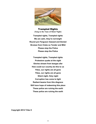

**Trampled Rights (Song to the Tune of Silent Night)**

**Trampled rights, Trampled rights We are calm, they're not bright Round yon Ferguson Gassed and Denied Bruises from Clubs so Tender and Mild Please stop the Police Please stop the Police**

**Trampled rights, Trampled rights Protestors quake at the sight Glories stream from teargas afar How could our country do this to us Yikes, our rights are all gone Yikes, our rights are all gone Silent night, Holy night Corruption has come to light Radiant beams from this disgrace Still have hope of redeeming this place These police are ruining the earth These police are ruining the earth**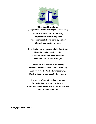

## **The Justice Song (Song to the Chestnuts Roasting on an Open Fire)**

**No True Bill Set Our Soul on Fire, They think it's over we suppose, Protestors' carols being song by a choir, Sting of tear gas in our nose.**

**Everybody knows racism and old Jim Crow, Helped to make the city blight. Protestor's with their eyes all aglow, Will find it hard to sleep at night.**

**They know that Justice is on its way; No thanks to Nixon, Mcculloch or even Slay And every mother's child wonders why, Black children in this country have to die.**

**And so I'm offering this simple phrase, To the Feds to who we now look to, Although its been said many times, many ways, We are Americans too**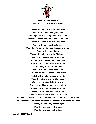

## **White Christmas Song to the tune of White Christmas**

**They're dreaming of a white Christmas, Just like the ones the bigots know Where justice is missing and fairness isn't Because fairness and justice they don't know They're dreaming of a white Christmas, Just like the ones the bigots know Where Fox News they listen and reason is distant Equality they don't know They're dreaming of a white Christmas, With every tweet and slur they write Our cities are filled with terror and blight And all of their Christmases are white I'm dreaming of a white Christmas, Just like the ones the bigots know Our cities are filled with terror and blight, And all of their Christmases are white Their dreaming of a white Christmas, With every tweet and slur they write Our cities are filled with terror and blight, And all of their Christmases are white Maybe one day they will see the light Until then all of their Christmases are white And all their Christmases are white (All of their Christmases are white) And all of their Christmases are white (All of their Christmases are white) And may they one day see the light (May they one day see the light) (May they one day see the light)**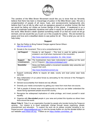

The carolers of the Mike Brown Movement would like you to know that we fervently believe that there has been a miscarriage of justice in the Mike Brown case. We are a conglomeration of people of all races, hues, and socioeconomic backgrounds who believe that if we sit idly by after such an egregious assault on another human life that we would be failing our duties as human beings of this planet. It awakened in us a desire to eradicate systematic injustices and usher in equity for all people of all kinds in the world. Mike Brown's death sparked something inside of us that we could not let go dormant, and we would like you to join us in this crusade for justice. We are bonded by peace and love and a steadfast desire to see justice for all. This is what you can do to help today:

## **Support**

- Sign the Petition to Bring Federal Charges against Darren Wilson: http://wh.gov/ICL9n
- $\div$  Donate to the movement: This is not a comprehensive list.

| <b>Jail Support</b>                             | Donate to Jail Support – This fund is used for getting peaceful<br>protestor's out of jail when imprisoned in the movement.<br>http://www.organizemo.org/justice for mike brown |
|-------------------------------------------------|---------------------------------------------------------------------------------------------------------------------------------------------------------------------------------|
| the l<br><b>Support</b><br><b>Livestreamers</b> | The livestreamers have been instrumental in getting out the word<br>out on Ferguson. http://www.smokeegyrl.com/                                                                 |
| <b>Newsletter</b>                               | Deray and Netta publish a movement newsletter daily subscribe and<br>support their work.<br>http://www.thisisthemovement.org                                                    |

- \* Support continuing efforts to require all state, county and local police wear body cameras
- \* Stop militarization of our police forces by advocating for the removal of the Pentagon's "1033 Program."
- Demand accountability from federal and city officials.
- Diversify your media consumption by getting your news from more than one source.
- \* Talk to people of diverse races and backgrounds so that you can better understand the issues facing oppressed people around the country.
- Recognize the widespread implications of white privilege, and invest yourself in racial equality.
- Organize with **like-minded** people in your area and protest this injustice as others have done around the world.

**About Tribe X:** Tribe X is an organization founded by people who bonded during the Ferguson uprising. Our mission is to exact systematic change through issues organizing, people empowerment and education. To support the work we do please consider donating to our Paypal account: tribexmail@gmail.com or click the donate button on via the donate button on our website www.tribex-stl.org.. Follow us on https://twitter.com/tribex\_stl.